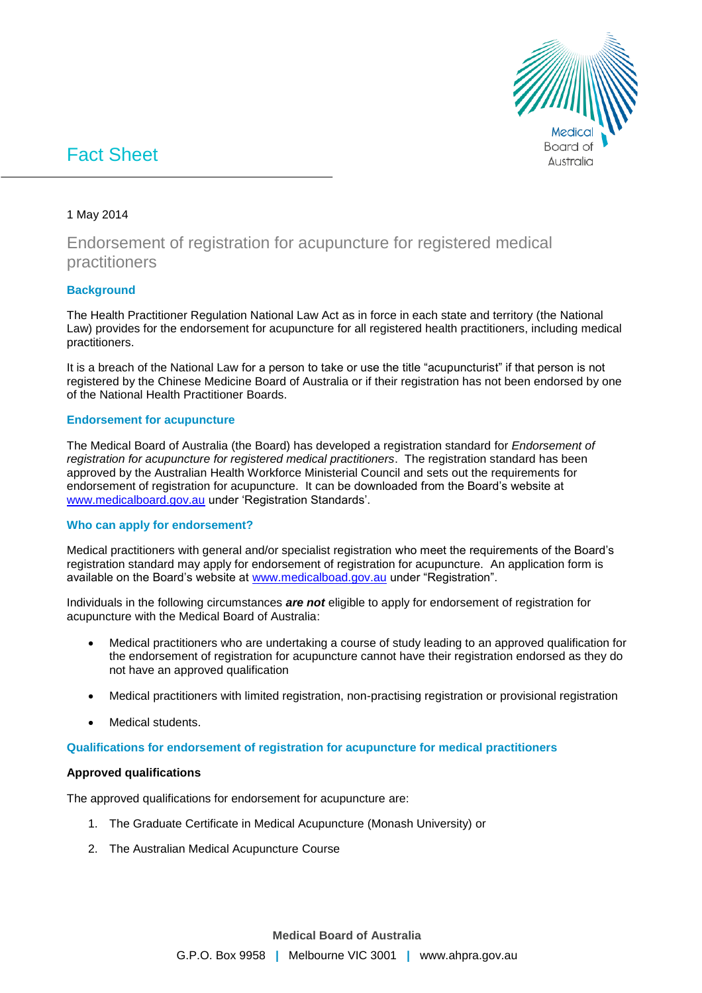

# Fact Sheet

### 1 May 2014

# Endorsement of registration for acupuncture for registered medical practitioners

## **Background**

The Health Practitioner Regulation National Law Act as in force in each state and territory (the National Law) provides for the endorsement for acupuncture for all registered health practitioners, including medical practitioners.

It is a breach of the National Law for a person to take or use the title "acupuncturist" if that person is not registered by the Chinese Medicine Board of Australia or if their registration has not been endorsed by one of the National Health Practitioner Boards.

#### **Endorsement for acupuncture**

The Medical Board of Australia (the Board) has developed a registration standard for *Endorsement of registration for acupuncture for registered medical practitioners*. The registration standard has been approved by the Australian Health Workforce Ministerial Council and sets out the requirements for endorsement of registration for acupuncture. It can be downloaded from the Board's website at [www.medicalboard.gov.au](http://www.medicalboard.gov.au/) under 'Registration Standards'.

#### **Who can apply for endorsement?**

Medical practitioners with general and/or specialist registration who meet the requirements of the Board's registration standard may apply for endorsement of registration for acupuncture. An application form is available on the Board's website at [www.medicalboad.gov.au](http://www.medicalboad.gov.au/) under "Registration".

Individuals in the following circumstances *are not* eligible to apply for endorsement of registration for acupuncture with the Medical Board of Australia:

- Medical practitioners who are undertaking a course of study leading to an approved qualification for the endorsement of registration for acupuncture cannot have their registration endorsed as they do not have an approved qualification
- Medical practitioners with limited registration, non-practising registration or provisional registration
- Medical students.

#### **Qualifications for endorsement of registration for acupuncture for medical practitioners**

#### **Approved qualifications**

The approved qualifications for endorsement for acupuncture are:

- 1. The Graduate Certificate in Medical Acupuncture (Monash University) or
- 2. The Australian Medical Acupuncture Course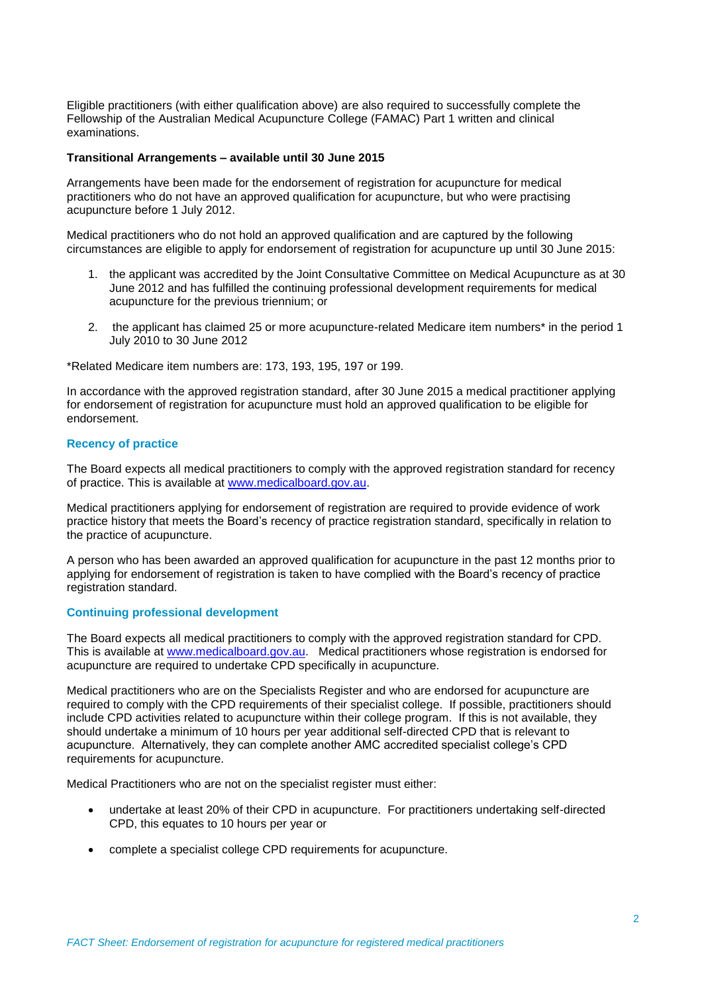Eligible practitioners (with either qualification above) are also required to successfully complete the Fellowship of the Australian Medical Acupuncture College (FAMAC) Part 1 written and clinical examinations.

#### **Transitional Arrangements – available until 30 June 2015**

Arrangements have been made for the endorsement of registration for acupuncture for medical practitioners who do not have an approved qualification for acupuncture, but who were practising acupuncture before 1 July 2012.

Medical practitioners who do not hold an approved qualification and are captured by the following circumstances are eligible to apply for endorsement of registration for acupuncture up until 30 June 2015:

- 1. the applicant was accredited by the Joint Consultative Committee on Medical Acupuncture as at 30 June 2012 and has fulfilled the continuing professional development requirements for medical acupuncture for the previous triennium; or
- 2. the applicant has claimed 25 or more acupuncture-related Medicare item numbers\* in the period 1 July 2010 to 30 June 2012

\*Related Medicare item numbers are: 173, 193, 195, 197 or 199.

In accordance with the approved registration standard, after 30 June 2015 a medical practitioner applying for endorsement of registration for acupuncture must hold an approved qualification to be eligible for endorsement.

#### **Recency of practice**

The Board expects all medical practitioners to comply with the approved registration standard for recency of practice. This is available at [www.medicalboard.gov.au.](http://www.medicalboard.gov.au/)

Medical practitioners applying for endorsement of registration are required to provide evidence of work practice history that meets the Board's recency of practice registration standard, specifically in relation to the practice of acupuncture.

A person who has been awarded an approved qualification for acupuncture in the past 12 months prior to applying for endorsement of registration is taken to have complied with the Board's recency of practice registration standard.

#### **Continuing professional development**

The Board expects all medical practitioners to comply with the approved registration standard for CPD. This is available at [www.medicalboard.gov.au.](http://www.medicalboard.gov.au/) Medical practitioners whose registration is endorsed for acupuncture are required to undertake CPD specifically in acupuncture.

Medical practitioners who are on the Specialists Register and who are endorsed for acupuncture are required to comply with the CPD requirements of their specialist college. If possible, practitioners should include CPD activities related to acupuncture within their college program. If this is not available, they should undertake a minimum of 10 hours per year additional self-directed CPD that is relevant to acupuncture. Alternatively, they can complete another AMC accredited specialist college's CPD requirements for acupuncture.

Medical Practitioners who are not on the specialist register must either:

- undertake at least 20% of their CPD in acupuncture. For practitioners undertaking self-directed CPD, this equates to 10 hours per year or
- complete a specialist college CPD requirements for acupuncture.